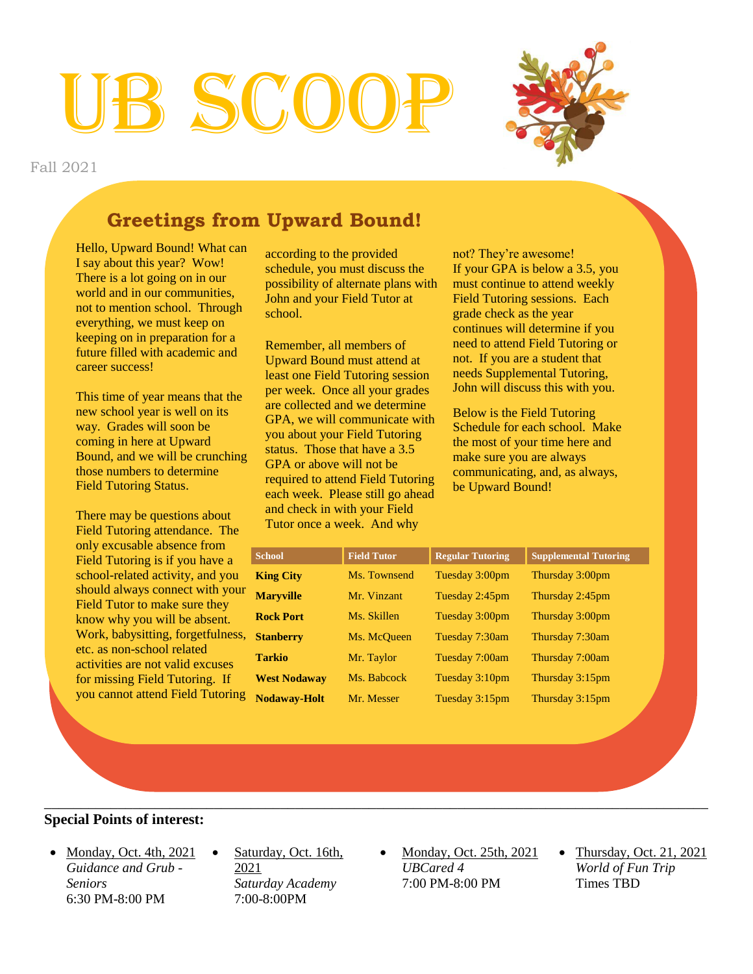# 3 SCO



Fall 2021

# **Greetings from Upward Bound! Greetings from Upward Bound!**

Hello, Upward Bound! What can Fall y about this year: Wow:<br>There is a lot going on in our world and in our communities, not to mention school. Through everything, we must keep on keeping on in preparation for a future filled with academic and career success! I say about this year? Wow!

This time of year means that the way. Grades will soon be coming in here at Upward Bound, and we will be crunching those numbers to determine Field Tutoring Status. new school year is well on its

There may be questions about Field Tutoring attendance. The only excusable absence from school-related activity, and you should always connect with your Field Tutor to make sure they<br>know why you will be absent. know why you win be absent.<br>Work, babysitting, forgetfulness, of your, employming, regermance, activities are not valid excuses for missing Field Tutoring. If Field Tutoring is if you have a Field Tutor to make sure they you cannot attend Field Tutoring

according to the provided schedule, you must discuss the possibility of alternate plans with John and your Field Tutor at  $T_{\text{m}}$ school.

Remember, all members of Upward Bound must attend at least one Field Tutoring session per week. Once all your grades  $GPA$ , we will communicate with you about your rield Tutoring<br>status. Those that have a 3.5 status. Those that have a 3.<br>GPA or above will not be required to attend Field Tutoring each week. Please still go ahead and check in with your Field Tutor once a week. And why are collected and we determine you about your Field Tutoring

not? They're awesome! If your GPA is below a 3.5, you must continue to attend weekly Freid Tutoring sessions<br>grade check as the year  $\text{continuous will determine if you}$ need to attend rield Tutoring or<br>not. If you are a student that not. If you are a student that<br>needs Supplemental Tutoring, For your Fighten Tutors.<br>John will discuss this with you. Field Tutoring sessions. Each need to attend Field Tutoring or

the most of your time here Below is the Field Tutoring schedule for each school. Make<br>the most of your time here and make sure your time nere<br>make sure you are always communicating, and, as always, Schedule for each school. Make be Upward Bound!

| <b>School</b>       | <b>Field Tutor</b> | <b>Regular Tutoring</b> | <b>Supplemental Tutoring</b> |
|---------------------|--------------------|-------------------------|------------------------------|
| <b>King City</b>    | Ms. Townsend       | Tuesday 3:00pm          | Thursday 3:00pm              |
| <b>Maryville</b>    | Mr. Vinzant        | Tuesday 2:45pm          | Thursday 2:45pm              |
| <b>Rock Port</b>    | Ms. Skillen        | Tuesday 3:00pm          | Thursday 3:00pm              |
| <b>Stanberry</b>    | Ms. McQueen        | Tuesday 7:30am          | Thursday 7:30am              |
| <b>Tarkio</b>       | Mr. Taylor         | Tuesday 7:00am          | Thursday 7:00am              |
| <b>West Nodaway</b> | Ms. Babcock        | Tuesday 3:10pm          | Thursday 3:15pm              |
| <b>Nodaway-Holt</b> | Mr. Messer         | Tuesday 3:15pm          | Thursday 3:15pm              |

#### **Special Points of interest:**

- Monday, Oct. 4th,  $2021$ *Guidance and Grub - Seniors* 6:30 PM-8:00 PM
- Saturday, Oct. 16th, 2021 *Saturday Academy* 7:00-8:00PM
- Monday, Oct. 25th, 2021 *UBCared 4*  7:00 PM-8:00 PM

\_\_\_\_\_\_\_\_\_\_\_\_\_\_\_\_\_\_\_\_\_\_\_\_\_\_\_\_\_\_\_\_\_\_\_\_\_\_\_\_\_\_\_\_\_\_\_\_\_\_\_\_\_\_\_\_\_\_\_\_\_\_\_\_\_\_\_\_\_\_\_\_\_\_\_\_\_\_\_\_\_\_\_\_\_\_\_\_\_\_

 $\bullet$  Thursday, Oct. 21, 2021 *World of Fun Trip* Times TBD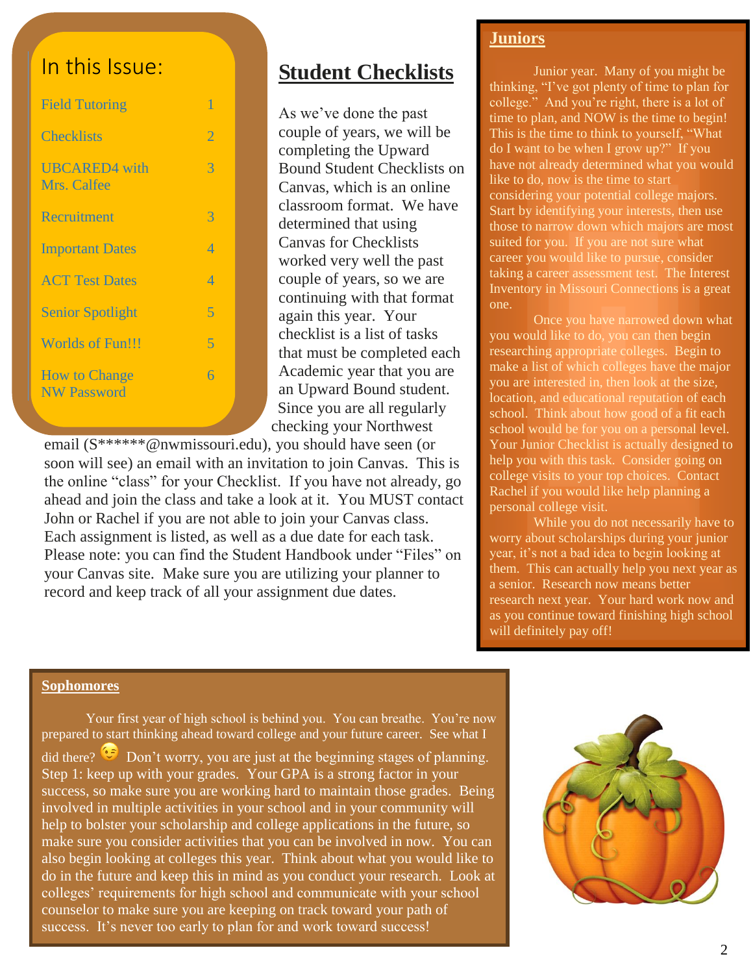## In this Issue:

| <b>Field Tutoring</b>                      | 1              |
|--------------------------------------------|----------------|
| <b>Checklists</b>                          | $\overline{2}$ |
| <b>UBCARED4</b> with<br>Mrs. Calfee        | $\mathcal{R}$  |
| Recruitment                                | 3              |
| <b>Important Dates</b>                     | $\overline{4}$ |
| <b>ACT Test Dates</b>                      | $\varDelta$    |
| <b>Senior Spotlight</b>                    | 5              |
| <b>Worlds of Fun!!!</b>                    | 5              |
| <b>How to Change</b><br><b>NW Password</b> | 6              |

### **Student Checklists**

As we've done the past couple of years, we will be completing the Upward Bound Student Checklists on Canvas, which is an online classroom format. We have determined that using Canvas for Checklists worked very well the past couple of years, so we are continuing with that format again this year. Your checklist is a list of tasks that must be completed each Academic year that you are an Upward Bound student. Since you are all regularly checking your Northwest

email (S\*\*\*\*\*\*@nwmissouri.edu), you should have seen (or soon will see) an email with an invitation to join Canvas. This is the online "class" for your Checklist. If you have not already, go ahead and join the class and take a look at it. You MUST contact John or Rachel if you are not able to join your Canvas class. Each assignment is listed, as well as a due date for each task. Please note: you can find the Student Handbook under "Files" on your Canvas site. Make sure you are utilizing your planner to record and keep track of all your assignment due dates.

#### **Juniors**

Junior year. Many of you might be thinking, "I've got plenty of time to plan for college." And you're right, there is a lot of time to plan, and NOW is the time to begin! This is the time to think to yourself, "What do I want to be when I grow up?" If you have not already determined what you would like to do, now is the time to start considering your potential college majors. Start by identifying your interests, then use those to narrow down which majors are most suited for you. If you are not sure what career you would like to pursue, consider taking a career assessment test. The Interest Inventory in Missouri Connections is a great one.

Once you have narrowed down what you would like to do, you can then begin researching appropriate colleges. Begin to make a list of which colleges have the major you are interested in, then look at the size, location, and educational reputation of each school. Think about how good of a fit each school would be for you on a personal level. Your Junior Checklist is actually designed to help you with this task. Consider going on college visits to your top choices. Contact Rachel if you would like help planning a personal college visit.

While you do not necessarily have to worry about scholarships during your junior year, it's not a bad idea to begin looking at them. This can actually help you next year as a senior. Research now means better research next year. Your hard work now and as you continue toward finishing high school will definitely pay off!

#### **Sophomores**

Your first year of high school is behind you. You can breathe. You're now prepared to start thinking ahead toward college and your future career. See what I did there?  $\bullet$  Don't worry, you are just at the beginning stages of planning. Step 1: keep up with your grades. Your GPA is a strong factor in your success, so make sure you are working hard to maintain those grades. Being involved in multiple activities in your school and in your community will help to bolster your scholarship and college applications in the future, so make sure you consider activities that you can be involved in now. You can also begin looking at colleges this year. Think about what you would like to do in the future and keep this in mind as you conduct your research. Look at colleges' requirements for high school and communicate with your school counselor to make sure you are keeping on track toward your path of success. It's never too early to plan for and work toward success!

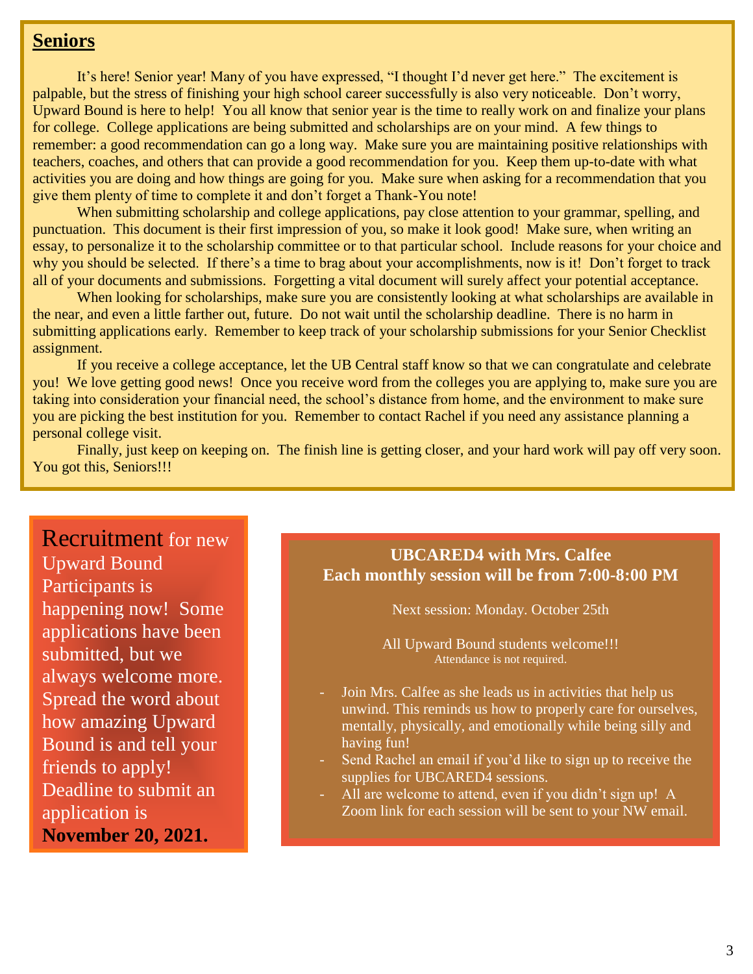#### **Seniors**

It's here! Senior year! Many of you have expressed, "I thought I'd never get here." The excitement is palpable, but the stress of finishing your high school career successfully is also very noticeable. Don't worry, Upward Bound is here to help! You all know that senior year is the time to really work on and finalize your plans for college. College applications are being submitted and scholarships are on your mind. A few things to remember: a good recommendation can go a long way. Make sure you are maintaining positive relationships with teachers, coaches, and others that can provide a good recommendation for you. Keep them up-to-date with what activities you are doing and how things are going for you. Make sure when asking for a recommendation that you give them plenty of time to complete it and don't forget a Thank-You note!

When submitting scholarship and college applications, pay close attention to your grammar, spelling, and punctuation. This document is their first impression of you, so make it look good! Make sure, when writing an essay, to personalize it to the scholarship committee or to that particular school. Include reasons for your choice and why you should be selected. If there's a time to brag about your accomplishments, now is it! Don't forget to track all of your documents and submissions. Forgetting a vital document will surely affect your potential acceptance.

When looking for scholarships, make sure you are consistently looking at what scholarships are available in the near, and even a little farther out, future. Do not wait until the scholarship deadline. There is no harm in submitting applications early. Remember to keep track of your scholarship submissions for your Senior Checklist assignment.

If you receive a college acceptance, let the UB Central staff know so that we can congratulate and celebrate you! We love getting good news! Once you receive word from the colleges you are applying to, make sure you are taking into consideration your financial need, the school's distance from home, and the environment to make sure you are picking the best institution for you. Remember to contact Rachel if you need any assistance planning a personal college visit.

Finally, just keep on keeping on. The finish line is getting closer, and your hard work will pay off very soon. You got this, Seniors!!!

### Recruitment for new Upward Bound Participants is happening now! Some applications have been submitted, but we always welcome more. Spread the word about

how amazing Upward Bound is and tell your friends to apply! Deadline to submit an application is

**November 20, 2021.**

#### **UBCARED4 with Mrs. Calfee Each monthly session will be from 7:00-8:00 PM**

Next session: Monday. October 25th

All Upward Bound students welcome!!! Attendance is not required.

- Join Mrs. Calfee as she leads us in activities that help us unwind. This reminds us how to properly care for ourselves, mentally, physically, and emotionally while being silly and having fun!
- Send Rachel an email if you'd like to sign up to receive the supplies for UBCARED4 sessions.
- All are welcome to attend, even if you didn't sign up! A Zoom link for each session will be sent to your NW email.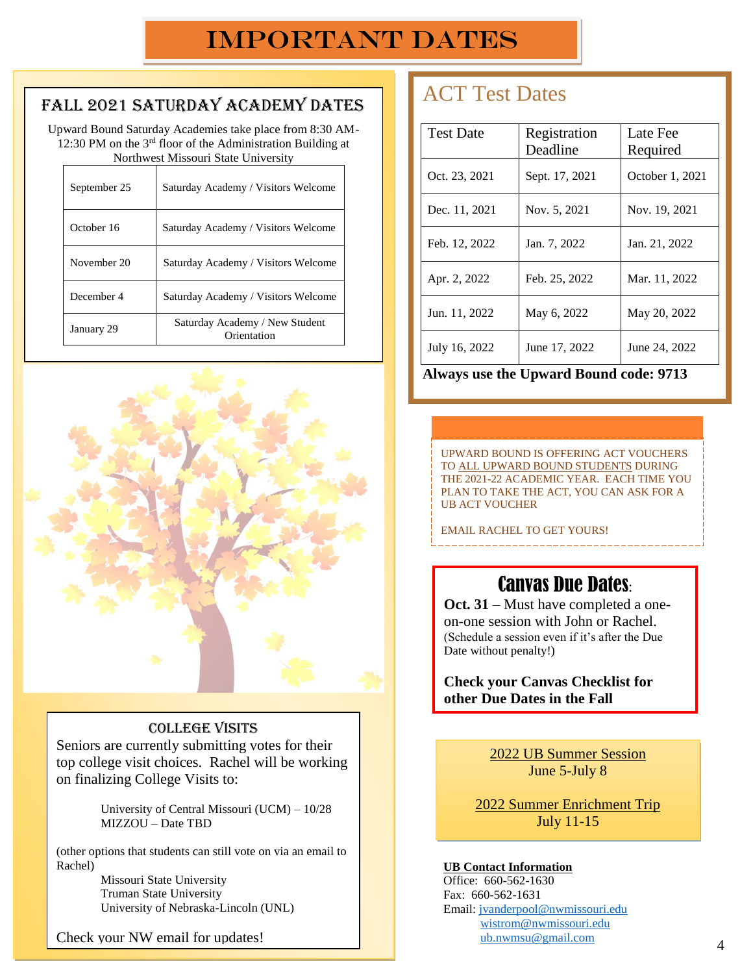# Important Dates

#### Fall 2021 Saturday Academy Dates

Upward Bound Saturday Academies take place from 8:30 AM-12:30 PM on the 3<sup>rd</sup> floor of the Administration Building at Northwest Missouri State University

| September 25 | Saturday Academy / Visitors Welcome           |  |
|--------------|-----------------------------------------------|--|
| October 16   | Saturday Academy / Visitors Welcome           |  |
| November 20  | Saturday Academy / Visitors Welcome           |  |
| December 4   | Saturday Academy / Visitors Welcome           |  |
| January 29   | Saturday Academy / New Student<br>Orientation |  |



#### College Visits

Seniors are currently submitting votes for their top college visit choices. Rachel will be working on finalizing College Visits to:

> University of Central Missouri (UCM) – 10/28 MIZZOU – Date TBD

(other options that students can still vote on via an email to Rachel)

Missouri State University Truman State University University of Nebraska-Lincoln (UNL)

Check your NW email for updates!

# ACT Test Dates

| <b>Test Date</b> | Registration<br>Deadline | Late Fee<br>Required |
|------------------|--------------------------|----------------------|
| Oct. 23, 2021    | Sept. 17, 2021           | October 1, 2021      |
| Dec. 11, 2021    | Nov. 5, 2021             | Nov. 19, 2021        |
| Feb. 12, 2022    | Jan. 7, 2022             | Jan. 21, 2022        |
| Apr. 2, 2022     | Feb. 25, 2022            | Mar. 11, 2022        |
| Jun. 11, 2022    | May 6, 2022              | May 20, 2022         |
| July 16, 2022    | June 17, 2022            | June 24, 2022        |

**Always use the Upward Bound code: 9713**

 $\mathcal{L}^{\mathcal{L}}$  . Each UB participant can utilize 2  $\mathcal{L}^{\mathcal{L}}$  and utilize 2  $\mathcal{L}^{\mathcal{L}}$ waivers. Forms are available by contacting the UB office.

For more information go to http://www.actstudent.org UPWARD BOUND IS OFFERING ACT VOUCHERS TO ALL UPWARD BOUND STUDENTS DURING THE 2021-22 ACADEMIC YEAR. EACH TIME YOU PLAN TO TAKE THE ACT, YOU CAN ASK FOR A UB ACT VOUCHER

EMAIL RACHEL TO GET YOURS!

<u> La La La La La La La La La L</u>

### Canvas Due Dates:

**Oct. 31** – Must have completed a oneon-one session with John or Rachel. (Schedule a session even if it's after the Due Date without penalty!)

**Check your Canvas Checklist for other Due Dates in the Fall**

> 2022 UB Summer Session June 5-July 8

2022 Summer Enrichment Trip July 11-15

#### **UB Contact Information**

Office: 660-562-1630 Fax: 660-562-1631 Email: [jvanderpool@nwmissouri.edu](mailto:jvanderpool@nwmissouri.edu) [wistrom@nwmissouri.edu](mailto:wistrom@nwmissouri.edu) ub.nwmsu@gmail.com <sup>4</sup>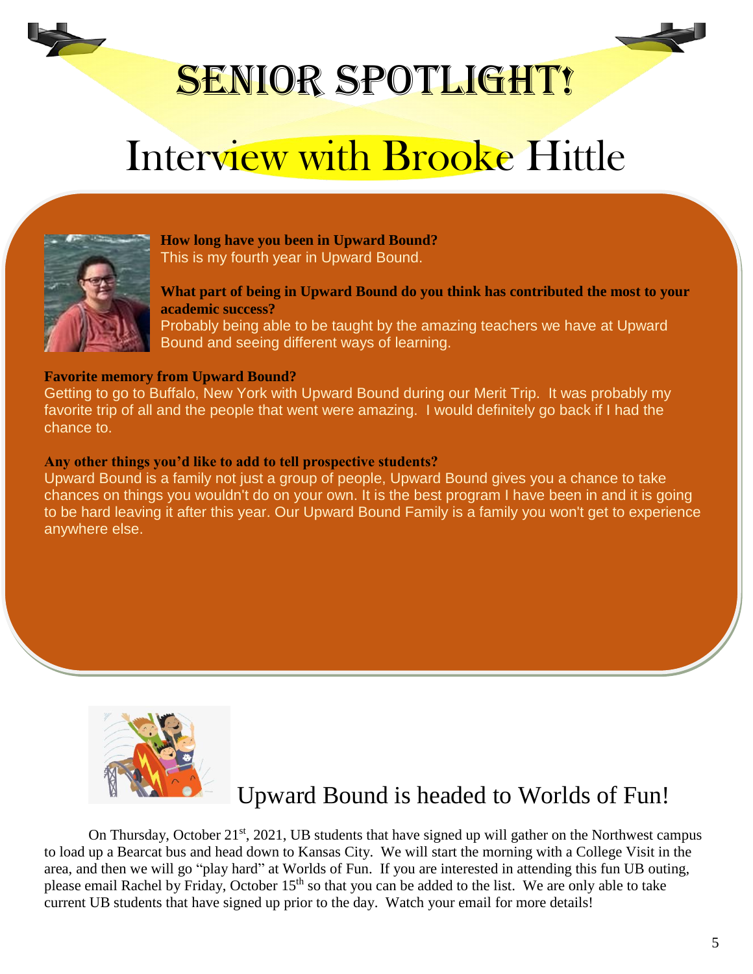

# SENIOR SPOTLIGHT!

# Interview with Brooke Hittle



**How long have you been in Upward Bound?**  This is my fourth year in Upward Bound.

**What part of being in Upward Bound do you think has contributed the most to your academic success?** 

Probably being able to be taught by the amazing teachers we have at Upward Bound and seeing different ways of learning.

#### **Favorite memory from Upward Bound?**

Getting to go to Buffalo, New York with Upward Bound during our Merit Trip. It was probably my favorite trip of all and the people that went were amazing. I would definitely go back if I had the chance to.

#### **Any other things you'd like to add to tell prospective students?**

Upward Bound is a family not just a group of people, Upward Bound gives you a chance to take chances on things you wouldn't do on your own. It is the best program I have been in and it is going to be hard leaving it after this year. Our Upward Bound Family is a family you won't get to experience anywhere else.



Upward Bound is headed to Worlds of Fun!

On Thursday, October 21<sup>st</sup>, 2021, UB students that have signed up will gather on the Northwest campus to load up a Bearcat bus and head down to Kansas City. We will start the morning with a College Visit in the area, and then we will go "play hard" at Worlds of Fun. If you are interested in attending this fun UB outing, please email Rachel by Friday, October  $15<sup>th</sup>$  so that you can be added to the list. We are only able to take current UB students that have signed up prior to the day. Watch your email for more details!